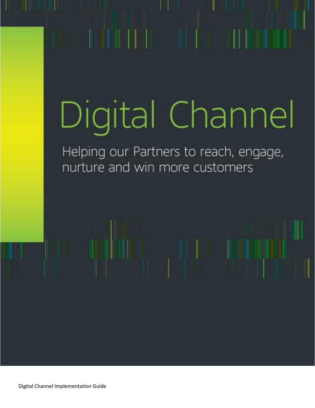# Digital Channel

Helping our Partners to reach, engage, nurture and win more customers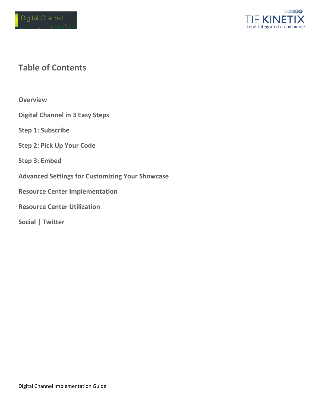

## **Table of Contents**

**Overview**

**Digital Channel in 3 Easy Steps**

**Step 1: Subscribe**

**Step 2: Pick Up Your Code**

**Step 3: Embed**

**Advanced Settings for Customizing Your Showcase**

**Resource Center Implementation**

**Resource Center Utilization**

**Social | Twitter**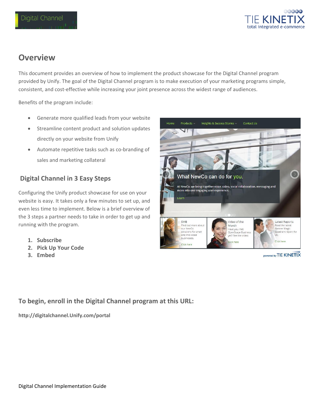

## **Overview**

This document provides an overview of how to implement the product showcase for the Digital Channel program provided by Unify. The goal of the Digital Channel program is to make execution of your marketing programs simple, consistent, and cost-effective while increasing your joint presence across the widest range of audiences.

Benefits of the program include:

- Generate more qualified leads from your website
- **•** Streamline content product and solution updates directly on your website from Unify
- Automate repetitive tasks such as co-branding of sales and marketing collateral

#### **Digital Channel in 3 Easy Steps**

Configuring the Unify product showcase for use on your website is easy. It takes only a few minutes to set up, and even less time to implement. Below is a brief overview of the 3 steps a partner needs to take in order to get up and running with the program.

- **1. Subscribe**
- **2. Pick Up Your Code**
- **3. Embed**



powered by TIE KINETIX

#### **To begin, enroll in the Digital Channel program at this URL:**

**[http://digitalchannel.Unify.com/portal](http://digitalchannel.unify.com/portal)**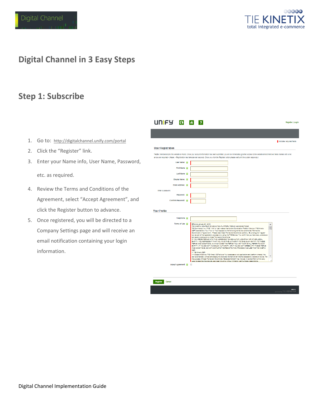

## **Digital Channel in 3 Easy Steps**

#### **Step 1: Subscribe**

- 1. Go to: <http://digitalchannel.unify.com/portal>
- 2. Click the "Register" link.
- 3. Enter your Name info, User Name, Password,

etc. as required.

- 4. Review the Terms and Conditions of the Agreement, select "Accept Agreement", and click the Register button to advance.
- 5. Once registered, you will be directed to a Company Settings page and will receive an email notification containing your login information.

| UNFY 0 6                   | $\overline{z}$                                                                                                                                                                                                                                                                                                                                   | Register   Login          |
|----------------------------|--------------------------------------------------------------------------------------------------------------------------------------------------------------------------------------------------------------------------------------------------------------------------------------------------------------------------------------------------|---------------------------|
|                            |                                                                                                                                                                                                                                                                                                                                                  |                           |
|                            |                                                                                                                                                                                                                                                                                                                                                  | Indicates required fields |
| <b>User Registration</b>   |                                                                                                                                                                                                                                                                                                                                                  |                           |
|                            |                                                                                                                                                                                                                                                                                                                                                  |                           |
|                            | *Note: Membership to this website is Public. Once your account information has been submitted, you will be immediately granted access to the website environment.All fields marked with a red<br>arrow are required.- (Nore: - Registration may take several seconds. Once you click the Register button please walt until the system responds.) |                           |
| User Name: In              |                                                                                                                                                                                                                                                                                                                                                  |                           |
| <b>First Name</b>          |                                                                                                                                                                                                                                                                                                                                                  |                           |
| Last Name                  |                                                                                                                                                                                                                                                                                                                                                  |                           |
| Display Name:              |                                                                                                                                                                                                                                                                                                                                                  |                           |
| Email Address: 18          |                                                                                                                                                                                                                                                                                                                                                  |                           |
| Enter a password.          |                                                                                                                                                                                                                                                                                                                                                  |                           |
| Password: IE               |                                                                                                                                                                                                                                                                                                                                                  |                           |
| Confirm Password:          |                                                                                                                                                                                                                                                                                                                                                  |                           |
|                            |                                                                                                                                                                                                                                                                                                                                                  |                           |
| <b>Your Profile</b>        |                                                                                                                                                                                                                                                                                                                                                  |                           |
| Telephone <b>in</b>        |                                                                                                                                                                                                                                                                                                                                                  |                           |
| Terms of Use <b>E</b>      | Effective January 21, 2013                                                                                                                                                                                                                                                                                                                       | ▴                         |
|                            | TIE KINETIX CONTENT SYNDICATION PLATFORM TERMS AND CONDITIONS<br>TIE Commerce, Inc. ("TIE", "We" or "Us") makes this Content Syndication Platform Service ("TIE Kinetix                                                                                                                                                                          | Ξ                         |
|                            | CSP") available to You ("You" or "Your") subject to the following terms and conditions ("Terms and                                                                                                                                                                                                                                               |                           |
|                            | Conditions' or "Agreement"). Please read these Terms and Conditions carefully. By clicking the "I agree"<br>box as part of the registration process or by using the TIE Service, You certify that you have read, understood                                                                                                                      |                           |
|                            | and agree to be bound by these Terms and Conditions.<br>IF YOU ARE ENTERING INTO THIS AGREEMENT ON BEHALF OF A COMPANY OR OTHER LEGAL.                                                                                                                                                                                                           |                           |
|                            | ENTITY, YOU REPRESENT THAT YOU HAVE THE AUTHORITY TO BIND SUCH ENTITY TO THESE                                                                                                                                                                                                                                                                   |                           |
|                            | TERMS AND CONDITIONS, IN WHICH CASE THE TERMS "YOU" OR "YOUR" SHALL REFER TO SUCH<br>ENTITY. IF YOU DO NOT HAVE SUCH AUTHORITY, OR IF YOU DO NOT AGREE WITH THESE TERMS                                                                                                                                                                          |                           |
|                            | AND CONDITIONS, DO NOT COMPLETE THE REGISTRATION PROCESS AND USE THE TIE KINETIX.                                                                                                                                                                                                                                                                |                           |
|                            | CSP.                                                                                                                                                                                                                                                                                                                                             |                           |
|                            | 1. TIE Kingtk CSP.                                                                                                                                                                                                                                                                                                                               |                           |
|                            | 1.1 Scope of Service. TIE Kinetix CSP allows You to access a web application and platform whereby You                                                                                                                                                                                                                                            | ٠                         |
|                            | can automatically embed and display the Selected Content on an Internet accessible website or device. For<br>the purpose of these Terms and Conditions, "Selected Content" may include: (i) content from a third party                                                                                                                           |                           |
| Accept Agreement <b>EB</b> | used to describe its products, services including without limitation, part numbers, descriptions,<br>$\qquad \qquad \Box$                                                                                                                                                                                                                        |                           |

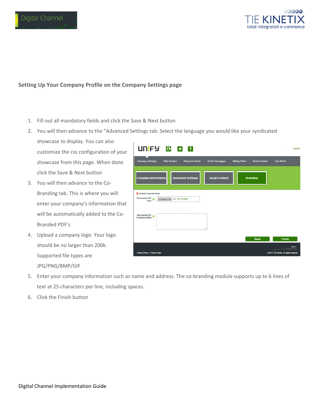



#### **Setting Up Your Company Profile on the Company Settings page**

- 1. Fill out all mandatory fields and click the Save & Next button
- 2. You will then advance to the "Advanced Settings tab. Select the language you would like your syndicated
	- showcase to display. You can also customize the css configuration of your showcase from this page. When done click the Save & Next button
- 3. You will then advance to the Co-Branding tab. This is where you will enter your company's information that will be automatically added to the Co-Branded PDF's
- 4. Upload a company logo. Your logo should be no larger than 200k. Supported file types are JPG/PNG/BMP/GIF

| UNFY 0 8 ?                                                                                                                                          | Logout                                                                |
|-----------------------------------------------------------------------------------------------------------------------------------------------------|-----------------------------------------------------------------------|
| <b>Company Settings</b><br><b>Resource Center</b><br><b>Email Campaigns</b><br><b>Mailing Client</b><br><b>Social Content</b><br><b>Web Content</b> | <b>Csp Admin</b>                                                      |
| <b>Company Information</b><br><b>Advanced Settings</b><br><b>Social Content</b><br><b>Branding</b>                                                  |                                                                       |
| Indicates required fields.                                                                                                                          |                                                                       |
| Personalize PDF<br>Choose File No file chosen<br>Logo                                                                                               |                                                                       |
|                                                                                                                                                     |                                                                       |
| Personalize PDF<br>Company Detalls                                                                                                                  |                                                                       |
| <b>Back</b>                                                                                                                                         | <b>Finish</b>                                                         |
| Privacy Policy   Terms of Use                                                                                                                       | <br>powered by TIE KINETIX<br>@ 2013 TIE Kinetix. All rights reserved |

- 5. Enter your company information such as name and address. The co-branding module supports up to 6 lines of text at 25 characters per line, including spaces.
- 6. Click the Finish button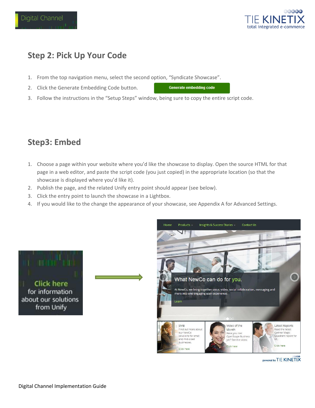



## **Step 2: Pick Up Your Code**

- 1. From the top navigation menu, select the second option, "Syndicate Showcase".
- 2. Click the Generate Embedding Code button.

**Generate embedding code** 

3. Follow the instructions in the "Setup Steps" window, being sure to copy the entire script code.

## **Step3: Embed**

- 1. Choose a page within your website where you'd like the showcase to display. Open the source HTML for that page in a web editor, and paste the script code (you just copied) in the appropriate location (so that the showcase is displayed where you'd like it).
- 2. Publish the page, and the related Unify entry point should appear (see below).
- 3. Click the entry point to launch the showcase in a Lightbox.
- 4. If you would like to the change the appearance of your showcase, see Appendix A for Advanced Settings.





powered by TIE KINETIX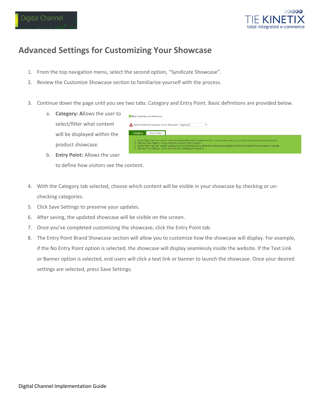



## **Advanced Settings for Customizing Your Showcase**

- 1. From the top navigation menu, select the second option, "Syndicate Showcase".
- 2. Review the Customize Showcase section to familiarize yourself with the process.
- 3. Continue down the page until you see two tabs: Category and Entry Point. Basic definitions are provided below.
	- a. **Category: A**llows the user to select/filter what content will be displayed within the product showcase.
	- b. **Entry Point:** Allows the user to define how visitors see the content.
- Hide Customize vour Showcase Select market and language of your Showcase English-US  $\overline{\phantom{a}}$ Category Entry Point On the "Entry Point" tab, see #1 "Entry Point Brand Showcase" to define the link or image visitors will use as a call-to-action to launch the<br>Click the "Save Settings" button to finalize your Entry Point selection.<br>On the
- 4. With the Category tab selected, choose which content will be visible in your showcase by checking or unchecking categories.
- 5. Click Save Settings to preserve your updates.
- 6. After saving, the updated showcase will be visible on the screen.
- 7. Once you've completed customizing the showcase, click the Entry Point tab.
- 8. The Entry Point Brand Showcase section will allow you to customize how the showcase will display. For example, if the No Entry Point option is selected, the showcase will display seamlessly inside the website. If the Text Link or Banner option is selected, end users will click a text link or banner to launch the showcase. Once your desired settings are selected, press Save Settings.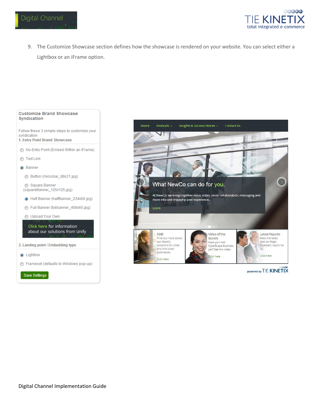

9. The Customize Showcase section defines how the showcase is rendered on your website. You can select either a Lightbox or an iFrame option.





powered by TIE KINETIX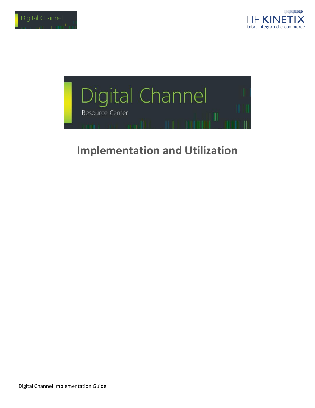



## **Implementation and Utilization**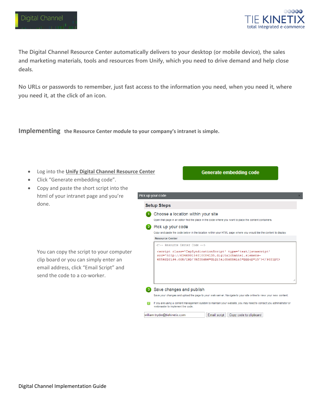

**The Digital Channel Resource Center automatically delivers to your desktop (or mobile device), the sales and marketing materials, tools and resources from Unify, which you need to drive demand and help close deals.**

**No URLs or passwords to remember, just fast access to the information you need, when you need it, where you need it, at the click of an icon.**

**Implementing the Resource Center module to your company's intranet is simple.** 

- Log into the **Unify [Digital Channel Resource Center](http://digitalchannel.siemens-enterprise.com/portal)**
- Click "Generate embedding code".
- Copy and paste the short script into the html of your intranet page and you're done.

You can copy the script to your computer clip board or you can simply enter an email address, click "Email Script" and send the code to a co-worker.

| Pick up your code                                                                                                                                                                             |
|-----------------------------------------------------------------------------------------------------------------------------------------------------------------------------------------------|
| <b>Setup Steps</b>                                                                                                                                                                            |
| Choose a location within your site                                                                                                                                                            |
| Open that page in an editor find the place in the code where you want to place the content containers.                                                                                        |
| Pick up your code                                                                                                                                                                             |
| Copy and paste the code below in the location within your HTML page where you would like the content to display.                                                                              |
| <b>Resource Center</b>                                                                                                                                                                        |
| Resource Center Code                                                                                                                                                                          |
| <script <br="" class="CspSyndicationScript" type="text/javascript">src='http://634699154010084135.digitalchannel.siemens-<br>enterprise.com/Csp/?mfrname=digitalchannel&t=ppp&p=15'></script> |
|                                                                                                                                                                                               |
| Save changes and publish                                                                                                                                                                      |
| Save your changes and upload the page to your web server. Navigate to your site online to view your new content.                                                                              |

**Generate embedding code** 

Email script Copy code to clipboard william.tryder@tiekinetix.com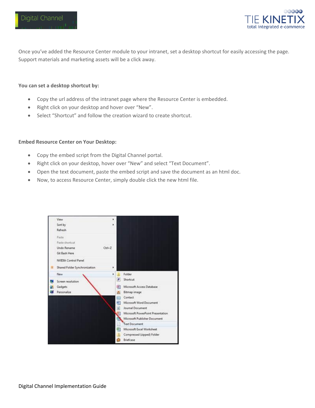

Once you've added the Resource Center module to your intranet, set a desktop shortcut for easily accessing the page. Support materials and marketing assets will be a click away.

#### **You can set a desktop shortcut by:**

- Copy the url address of the intranet page where the Resource Center is embedded.
- Right click on your desktop and hover over "New".
- Select "Shortcut" and follow the creation wizard to create shortcut.

#### **Embed Resource Center on Your Desktop:**

- Copy the embed script from the Digital Channel portal.
- Right click on your desktop, hover over "New" and select "Text Document".
- Open the text document, paste the embed script and save the document as an html doc.
- Now, to access Resource Center, simply double click the new html file.

| View                          | ٠                         |                                   |
|-------------------------------|---------------------------|-----------------------------------|
| Sort by                       | ٠                         |                                   |
| Refresh                       |                           |                                   |
| Paste                         |                           |                                   |
| Paste shortcut                |                           |                                   |
| Undo Rename                   | $Ctr1+Z$                  |                                   |
| Git Bash Here                 |                           |                                   |
| <b>NVIDIA Control Panel</b>   |                           |                                   |
| Shared Folder Synchronization | ٠                         |                                   |
| New                           | ٠                         | Folder                            |
| Screen resolution             | a                         | Shortcut                          |
| Gadgets                       | Щ                         | Microsoft Access Database         |
| Personalize                   |                           | Bitmap image                      |
|                               | $\overline{\mathbb{R}^2}$ | Contact                           |
|                               | 9)                        | Microsoft Word Document           |
|                               | c)                        | Journal Document                  |
|                               |                           | Microsoft PowerPoint Presentation |
|                               |                           | Microsoft Publisher Document      |
|                               |                           | <b>Text Document</b>              |
|                               |                           | Microsoft Excel Worksheet         |
|                               |                           | Compressed (zipped) Folder        |
|                               |                           | Briefcase                         |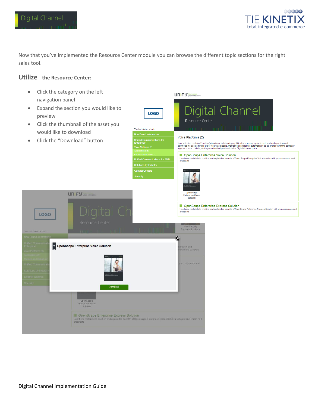

Now that you've implemented the Resource Center module you can browse the different topic sections for the right sales tool.

#### **Utilize the Resource Center:**

• Click the category on the left UNIFY Harmonize navigation panel Expand the section you would like to Digital Channel LOGO preview Resource Center • Click the thumbnail of the asset you To start: Select a topic would like to download Voice Platforms (2) Click the "Download" buttonUnified Communications for<br>Enterprise Your selection contains 2 section(s) available in this category. Click the + symbol against each section to preview and<br>download the assets for this topic. Where applicable, marketing collateral will automatically be co-br Voice Platforms (2) OpenScape Enterprise Voice Solution **DE OPERAGEMENT CONSIDERATION CONSIDERATION**<br>Use these materials to position and explain the benefits of Open Scape Enterprise Voice Solution with your customers and<br>prospects **UNIFY** your enterprise Enterprise Voice<br>Solution DenScape Enterprise Express Solution a Victoria Cape Enterprise Express Solution<br>Use these materials to position and explain the benefits of OpenScape Enterprise Express Solution with your customers and<br>prospects LOGO New Security<br>Services Brochure  $\circledast$ OpenScape Enterprise Voice Solution preview and<br>I with the company Open Scape<br>Enterprise Voice<br>Solution DenScape Enterprise Express Solution

Use these materials to position and explain the benefits of OpenScape Enterprise Express Solution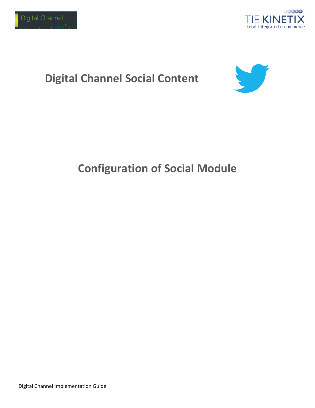

# **Digital Channel Social Content**



# **Configuration of Social Module**